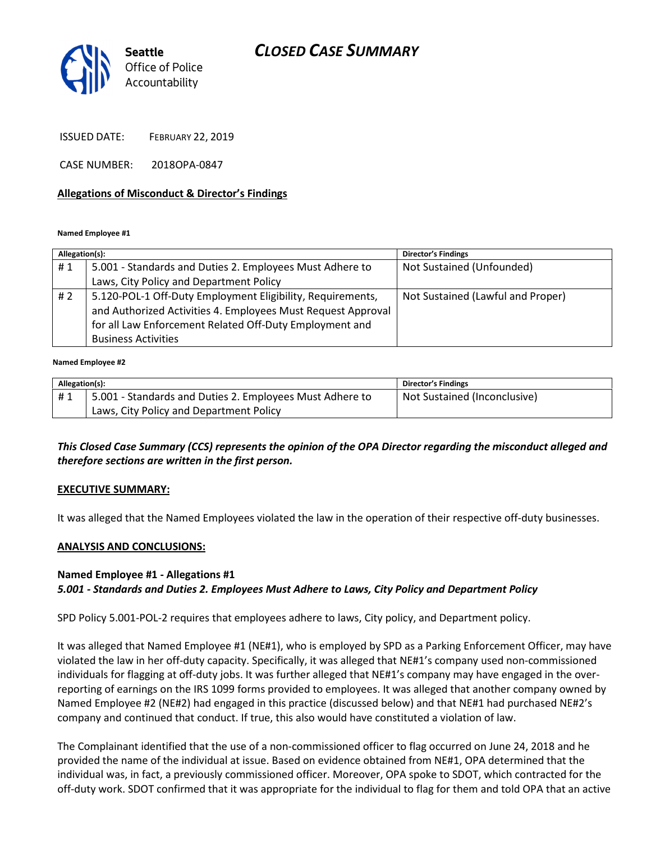# CLOSED CASE SUMMARY



ISSUED DATE: FEBRUARY 22, 2019

CASE NUMBER: 2018OPA-0847

#### Allegations of Misconduct & Director's Findings

Named Employee #1

| Allegation(s): |                                                              | <b>Director's Findings</b>        |
|----------------|--------------------------------------------------------------|-----------------------------------|
| #1             | 5.001 - Standards and Duties 2. Employees Must Adhere to     | Not Sustained (Unfounded)         |
|                | Laws, City Policy and Department Policy                      |                                   |
| #2             | 5.120-POL-1 Off-Duty Employment Eligibility, Requirements,   | Not Sustained (Lawful and Proper) |
|                | and Authorized Activities 4. Employees Must Request Approval |                                   |
|                | for all Law Enforcement Related Off-Duty Employment and      |                                   |
|                | <b>Business Activities</b>                                   |                                   |

#### Named Employee #2

| Allegation(s): |                                                          | <b>Director's Findings</b>   |
|----------------|----------------------------------------------------------|------------------------------|
| #1             | 5.001 - Standards and Duties 2. Employees Must Adhere to | Not Sustained (Inconclusive) |
|                | Laws, City Policy and Department Policy                  |                              |

This Closed Case Summary (CCS) represents the opinion of the OPA Director regarding the misconduct alleged and therefore sections are written in the first person.

#### EXECUTIVE SUMMARY:

It was alleged that the Named Employees violated the law in the operation of their respective off-duty businesses.

#### ANALYSIS AND CONCLUSIONS:

## Named Employee #1 - Allegations #1 5.001 - Standards and Duties 2. Employees Must Adhere to Laws, City Policy and Department Policy

SPD Policy 5.001-POL-2 requires that employees adhere to laws, City policy, and Department policy.

It was alleged that Named Employee #1 (NE#1), who is employed by SPD as a Parking Enforcement Officer, may have violated the law in her off-duty capacity. Specifically, it was alleged that NE#1's company used non-commissioned individuals for flagging at off-duty jobs. It was further alleged that NE#1's company may have engaged in the overreporting of earnings on the IRS 1099 forms provided to employees. It was alleged that another company owned by Named Employee #2 (NE#2) had engaged in this practice (discussed below) and that NE#1 had purchased NE#2's company and continued that conduct. If true, this also would have constituted a violation of law.

The Complainant identified that the use of a non-commissioned officer to flag occurred on June 24, 2018 and he provided the name of the individual at issue. Based on evidence obtained from NE#1, OPA determined that the individual was, in fact, a previously commissioned officer. Moreover, OPA spoke to SDOT, which contracted for the off-duty work. SDOT confirmed that it was appropriate for the individual to flag for them and told OPA that an active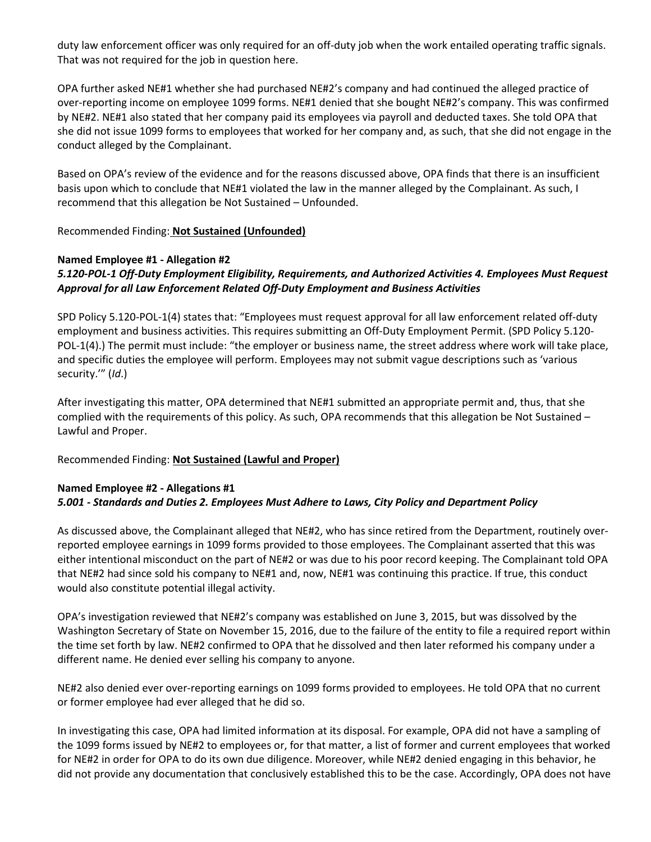duty law enforcement officer was only required for an off-duty job when the work entailed operating traffic signals. That was not required for the job in question here.

OPA further asked NE#1 whether she had purchased NE#2's company and had continued the alleged practice of over-reporting income on employee 1099 forms. NE#1 denied that she bought NE#2's company. This was confirmed by NE#2. NE#1 also stated that her company paid its employees via payroll and deducted taxes. She told OPA that she did not issue 1099 forms to employees that worked for her company and, as such, that she did not engage in the conduct alleged by the Complainant.

Based on OPA's review of the evidence and for the reasons discussed above, OPA finds that there is an insufficient basis upon which to conclude that NE#1 violated the law in the manner alleged by the Complainant. As such, I recommend that this allegation be Not Sustained – Unfounded.

Recommended Finding: Not Sustained (Unfounded)

## Named Employee #1 - Allegation #2

## 5.120-POL-1 Off-Duty Employment Eligibility, Requirements, and Authorized Activities 4. Employees Must Request Approval for all Law Enforcement Related Off-Duty Employment and Business Activities

SPD Policy 5.120-POL-1(4) states that: "Employees must request approval for all law enforcement related off-duty employment and business activities. This requires submitting an Off-Duty Employment Permit. (SPD Policy 5.120- POL-1(4).) The permit must include: "the employer or business name, the street address where work will take place, and specific duties the employee will perform. Employees may not submit vague descriptions such as 'various security.'" (Id.)

After investigating this matter, OPA determined that NE#1 submitted an appropriate permit and, thus, that she complied with the requirements of this policy. As such, OPA recommends that this allegation be Not Sustained – Lawful and Proper.

#### Recommended Finding: Not Sustained (Lawful and Proper)

## Named Employee #2 - Allegations #1 5.001 - Standards and Duties 2. Employees Must Adhere to Laws, City Policy and Department Policy

As discussed above, the Complainant alleged that NE#2, who has since retired from the Department, routinely overreported employee earnings in 1099 forms provided to those employees. The Complainant asserted that this was either intentional misconduct on the part of NE#2 or was due to his poor record keeping. The Complainant told OPA that NE#2 had since sold his company to NE#1 and, now, NE#1 was continuing this practice. If true, this conduct would also constitute potential illegal activity.

OPA's investigation reviewed that NE#2's company was established on June 3, 2015, but was dissolved by the Washington Secretary of State on November 15, 2016, due to the failure of the entity to file a required report within the time set forth by law. NE#2 confirmed to OPA that he dissolved and then later reformed his company under a different name. He denied ever selling his company to anyone.

NE#2 also denied ever over-reporting earnings on 1099 forms provided to employees. He told OPA that no current or former employee had ever alleged that he did so.

In investigating this case, OPA had limited information at its disposal. For example, OPA did not have a sampling of the 1099 forms issued by NE#2 to employees or, for that matter, a list of former and current employees that worked for NE#2 in order for OPA to do its own due diligence. Moreover, while NE#2 denied engaging in this behavior, he did not provide any documentation that conclusively established this to be the case. Accordingly, OPA does not have